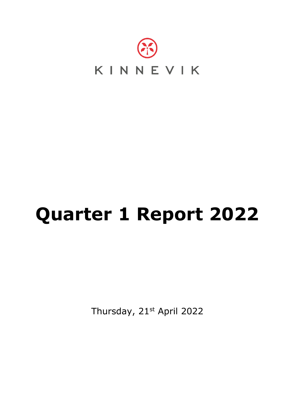

# **Quarter 1 Report 2022**

Thursday, 21st April 2022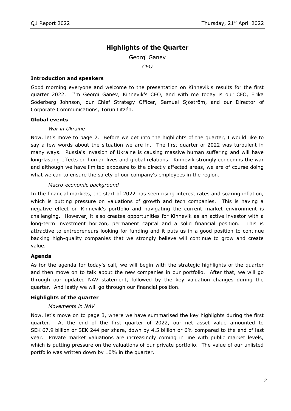# **Highlights of the Quarter**

Georgi Ganev

*CEO*

#### **Introduction and speakers**

Good morning everyone and welcome to the presentation on Kinnevik's results for the first quarter 2022. I'm Georgi Ganev, Kinnevik's CEO, and with me today is our CFO, Erika Söderberg Johnson, our Chief Strategy Officer, Samuel Sjöström, and our Director of Corporate Communications, Torun Litzén.

#### **Global events**

#### *War in Ukraine*

Now, let's move to page 2. Before we get into the highlights of the quarter, I would like to say a few words about the situation we are in. The first quarter of 2022 was turbulent in many ways. Russia's invasion of Ukraine is causing massive human suffering and will have long-lasting effects on human lives and global relations. Kinnevik strongly condemns the war and although we have limited exposure to the directly affected areas, we are of course doing what we can to ensure the safety of our company's employees in the region.

#### *Macro-economic background*

In the financial markets, the start of 2022 has seen rising interest rates and soaring inflation, which is putting pressure on valuations of growth and tech companies. This is having a negative effect on Kinnevik's portfolio and navigating the current market environment is challenging. However, it also creates opportunities for Kinnevik as an active investor with a long-term investment horizon, permanent capital and a solid financial position. This is attractive to entrepreneurs looking for funding and it puts us in a good position to continue backing high-quality companies that we strongly believe will continue to grow and create value.

#### **Agenda**

As for the agenda for today's call, we will begin with the strategic highlights of the quarter and then move on to talk about the new companies in our portfolio. After that, we will go through our updated NAV statement, followed by the key valuation changes during the quarter. And lastly we will go through our financial position.

#### **Highlights of the quarter**

#### *Movements in NAV*

Now, let's move on to page 3, where we have summarised the key highlights during the first quarter. At the end of the first quarter of 2022, our net asset value amounted to SEK 67.9 billion or SEK 244 per share, down by 4.5 billion or 6% compared to the end of last year. Private market valuations are increasingly coming in line with public market levels, which is putting pressure on the valuations of our private portfolio. The value of our unlisted portfolio was written down by 10% in the quarter.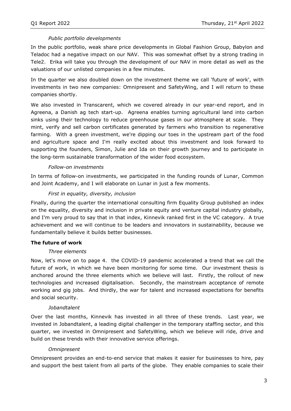# *Public portfolio developments*

In the public portfolio, weak share price developments in Global Fashion Group, Babylon and Teladoc had a negative impact on our NAV. This was somewhat offset by a strong trading in Tele2. Erika will take you through the development of our NAV in more detail as well as the valuations of our unlisted companies in a few minutes.

In the quarter we also doubled down on the investment theme we call 'future of work', with investments in two new companies: Omnipresent and SafetyWing, and I will return to these companies shortly.

We also invested in Transcarent, which we covered already in our year-end report, and in Agreena, a Danish ag tech start-up. Agreena enables turning agricultural land into carbon sinks using their technology to reduce greenhouse gases in our atmosphere at scale. They mint, verify and sell carbon certificates generated by farmers who transition to regenerative farming. With a green investment, we're dipping our toes in the upstream part of the food and agriculture space and I'm really excited about this investment and look forward to supporting the founders, Simon, Julie and Ida on their growth journey and to participate in the long-term sustainable transformation of the wider food ecosystem.

## *Follow-on investments*

In terms of follow-on investments, we participated in the funding rounds of Lunar, Common and Joint Academy, and I will elaborate on Lunar in just a few moments.

# *First in equality, diversity, inclusion*

Finally, during the quarter the international consulting firm Equality Group published an index on the equality, diversity and inclusion in private equity and venture capital industry globally, and I'm very proud to say that in that index, Kinnevik ranked first in the VC category. A true achievement and we will continue to be leaders and innovators in sustainability, because we fundamentally believe it builds better businesses.

## **The future of work**

## *Three elements*

Now, let's move on to page 4. the COVID-19 pandemic accelerated a trend that we call the future of work, in which we have been monitoring for some time. Our investment thesis is anchored around the three elements which we believe will last. Firstly, the rollout of new technologies and increased digitalisation. Secondly, the mainstream acceptance of remote working and gig jobs. And thirdly, the war for talent and increased expectations for benefits and social security.

## *Jobandtalent*

Over the last months, Kinnevik has invested in all three of these trends. Last year, we invested in Jobandtalent, a leading digital challenger in the temporary staffing sector, and this quarter, we invested in Omnipresent and SafetyWing, which we believe will ride, drive and build on these trends with their innovative service offerings.

## *Omnipresent*

Omnipresent provides an end-to-end service that makes it easier for businesses to hire, pay and support the best talent from all parts of the globe. They enable companies to scale their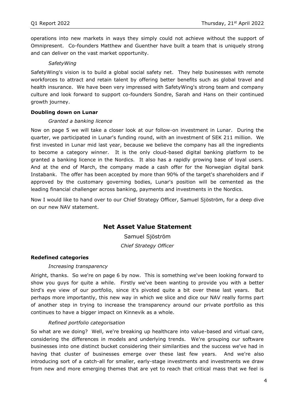operations into new markets in ways they simply could not achieve without the support of Omnipresent. Co-founders Matthew and Guenther have built a team that is uniquely strong and can deliver on the vast market opportunity.

## *SafetyWing*

SafetyWing's vision is to build a global social safety net. They help businesses with remote workforces to attract and retain talent by offering better benefits such as global travel and health insurance. We have been very impressed with SafetyWing's strong team and company culture and look forward to support co-founders Sondre, Sarah and Hans on their continued growth journey.

## **Doubling down on Lunar**

## *Granted a banking licence*

Now on page 5 we will take a closer look at our follow-on investment in Lunar. During the quarter, we participated in Lunar's funding round, with an investment of SEK 211 million. We first invested in Lunar mid last year, because we believe the company has all the ingredients to become a category winner. It is the only cloud-based digital banking platform to be granted a banking licence in the Nordics. It also has a rapidly growing base of loyal users. And at the end of March, the company made a cash offer for the Norwegian digital bank Instabank. The offer has been accepted by more than 90% of the target's shareholders and if approved by the customary governing bodies, Lunar's position will be cemented as the leading financial challenger across banking, payments and investments in the Nordics.

Now I would like to hand over to our Chief Strategy Officer, Samuel Sjöström, for a deep dive on our new NAV statement.

# **Net Asset Value Statement**

Samuel Sjöström *Chief Strategy Officer*

## **Redefined categories**

#### *Increasing transparency*

Alright, thanks. So we're on page 6 by now. This is something we've been looking forward to show you guys for quite a while. Firstly we've been wanting to provide you with a better bird's eye view of our portfolio, since it's pivoted quite a bit over these last years. But perhaps more importantly, this new way in which we slice and dice our NAV really forms part of another step in trying to increase the transparency around our private portfolio as this continues to have a bigger impact on Kinnevik as a whole.

## *Refined portfolio categorisation*

So what are we doing? Well, we're breaking up healthcare into value-based and virtual care, considering the differences in models and underlying trends. We're grouping our software businesses into one distinct bucket considering their similarities and the success we've had in having that cluster of businesses emerge over these last few years. And we're also introducing sort of a catch-all for smaller, early-stage investments and investments we draw from new and more emerging themes that are yet to reach that critical mass that we feel is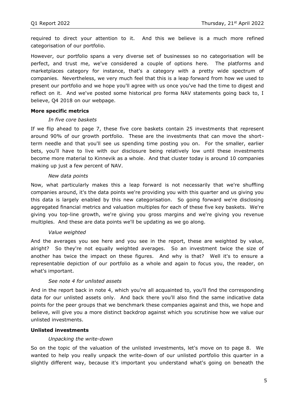required to direct your attention to it. And this we believe is a much more refined categorisation of our portfolio.

However, our portfolio spans a very diverse set of businesses so no categorisation will be perfect, and trust me, we've considered a couple of options here. The platforms and marketplaces category for instance, that's a category with a pretty wide spectrum of companies. Nevertheless, we very much feel that this is a leap forward from how we used to present our portfolio and we hope you'll agree with us once you've had the time to digest and reflect on it. And we've posted some historical pro forma NAV statements going back to, I believe, Q4 2018 on our webpage.

#### **More specific metrics**

#### *In five core baskets*

If we flip ahead to page 7, these five core baskets contain 25 investments that represent around 90% of our growth portfolio. These are the investments that can move the shortterm needle and that you'll see us spending time posting you on. For the smaller, earlier bets, you'll have to live with our disclosure being relatively low until these investments become more material to Kinnevik as a whole. And that cluster today is around 10 companies making up just a few percent of NAV.

#### *New data points*

Now, what particularly makes this a leap forward is not necessarily that we're shuffling companies around, it's the data points we're providing you with this quarter and us giving you this data is largely enabled by this new categorisation. So going forward we're disclosing aggregated financial metrics and valuation multiples for each of these five key baskets. We're giving you top-line growth, we're giving you gross margins and we're giving you revenue multiples. And these are data points we'll be updating as we go along.

#### *Value weighted*

And the averages you see here and you see in the report, these are weighted by value, alright? So they're not equally weighted averages. So an investment twice the size of another has twice the impact on these figures. And why is that? Well it's to ensure a representable depiction of our portfolio as a whole and again to focus you, the reader, on what's important.

## *See note 4 for unlisted assets*

And in the report back in note 4, which you're all acquainted to, you'll find the corresponding data for our unlisted assets only. And back there you'll also find the same indicative data points for the peer groups that we benchmark these companies against and this, we hope and believe, will give you a more distinct backdrop against which you scrutinise how we value our unlisted investments.

#### **Unlisted investments**

#### *Unpacking the write-down*

So on the topic of the valuation of the unlisted investments, let's move on to page 8. We wanted to help you really unpack the write-down of our unlisted portfolio this quarter in a slightly different way, because it's important you understand what's going on beneath the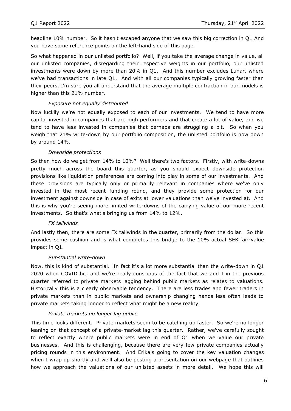headline 10% number. So it hasn't escaped anyone that we saw this big correction in Q1 And you have some reference points on the left-hand side of this page.

So what happened in our unlisted portfolio? Well, if you take the average change in value, all our unlisted companies, disregarding their respective weights in our portfolio, our unlisted investments were down by more than 20% in Q1. And this number excludes Lunar, where we've had transactions in late Q1. And with all our companies typically growing faster than their peers, I'm sure you all understand that the average multiple contraction in our models is higher than this 21% number.

## *Exposure not equally distributed*

Now luckily we're not equally exposed to each of our investments. We tend to have more capital invested in companies that are high performers and that create a lot of value, and we tend to have less invested in companies that perhaps are struggling a bit. So when you weigh that 21% write-down by our portfolio composition, the unlisted portfolio is now down by around 14%.

## *Downside protections*

So then how do we get from 14% to 10%? Well there's two factors. Firstly, with write-downs pretty much across the board this quarter, as you should expect downside protection provisions like liquidation preferences are coming into play in some of our investments. And these provisions are typically only or primarily relevant in companies where we've only invested in the most recent funding round, and they provide some protection for our investment against downside in case of exits at lower valuations than we've invested at. And this is why you're seeing more limited write-downs of the carrying value of our more recent investments. So that's what's bringing us from 14% to 12%.

#### *FX tailwinds*

And lastly then, there are some FX tailwinds in the quarter, primarily from the dollar. So this provides some cushion and is what completes this bridge to the 10% actual SEK fair-value impact in Q1.

#### *Substantial write-down*

Now, this is kind of substantial. In fact it's a lot more substantial than the write-down in Q1 2020 when COVID hit, and we're really conscious of the fact that we and I in the previous quarter referred to private markets lagging behind public markets as relates to valuations. Historically this is a clearly observable tendency. There are less trades and fewer traders in private markets than in public markets and ownership changing hands less often leads to private markets taking longer to reflect what might be a new reality.

## *Private markets no longer lag public*

This time looks different. Private markets seem to be catching up faster. So we're no longer leaning on that concept of a private-market lag this quarter. Rather, we've carefully sought to reflect exactly where public markets were in end of Q1 when we value our private businesses. And this is challenging, because there are very few private companies actually pricing rounds in this environment. And Erika's going to cover the key valuation changes when I wrap up shortly and we'll also be posting a presentation on our webpage that outlines how we approach the valuations of our unlisted assets in more detail. We hope this will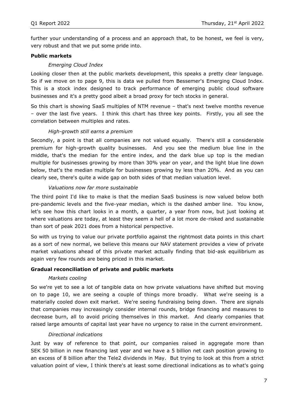further your understanding of a process and an approach that, to be honest, we feel is very, very robust and that we put some pride into.

## **Public markets**

## *Emerging Cloud Index*

Looking closer then at the public markets development, this speaks a pretty clear language. So if we move on to page 9, this is data we pulled from Bessemer's Emerging Cloud Index. This is a stock index designed to track performance of emerging public cloud software businesses and it's a pretty good albeit a broad proxy for tech stocks in general.

So this chart is showing SaaS multiples of NTM revenue – that's next twelve months revenue – over the last five years. I think this chart has three key points. Firstly, you all see the correlation between multiples and rates.

## *High-growth still earns a premium*

Secondly, a point is that all companies are not valued equally. There's still a considerable premium for high-growth quality businesses. And you see the medium blue line in the middle, that's the median for the entire index, and the dark blue up top is the median multiple for businesses growing by more than 30% year on year, and the light blue line down below, that's the median multiple for businesses growing by less than 20%. And as you can clearly see, there's quite a wide gap on both sides of that median valuation level.

## *Valuations now far more sustainable*

The third point I'd like to make is that the median SaaS business is now valued below both pre-pandemic levels and the five-year median, which is the dashed amber line. You know, let's see how this chart looks in a month, a quarter, a year from now, but just looking at where valuations are today, at least they seem a hell of a lot more de-risked and sustainable than sort of peak 2021 does from a historical perspective.

So with us trying to value our private portfolio against the rightmost data points in this chart as a sort of new normal, we believe this means our NAV statement provides a view of private market valuations ahead of this private market actually finding that bid-ask equilibrium as again very few rounds are being priced in this market.

#### **Gradual reconciliation of private and public markets**

#### *Markets cooling*

So we're yet to see a lot of tangible data on how private valuations have shifted but moving on to page 10, we are seeing a couple of things more broadly. What we're seeing is a materially cooled down exit market. We're seeing fundraising being down. There are signals that companies may increasingly consider internal rounds, bridge financing and measures to decrease burn, all to avoid pricing themselves in this market. And clearly companies that raised large amounts of capital last year have no urgency to raise in the current environment.

#### *Directional indications*

Just by way of reference to that point, our companies raised in aggregate more than SEK 50 billion in new financing last year and we have a 5 billion net cash position growing to an excess of 8 billion after the Tele2 dividends in May. But trying to look at this from a strict valuation point of view, I think there's at least some directional indications as to what's going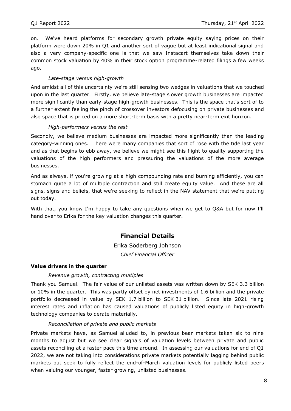on. We've heard platforms for secondary growth private equity saying prices on their platform were down 20% in Q1 and another sort of vague but at least indicational signal and also a very company-specific one is that we saw Instacart themselves take down their common stock valuation by 40% in their stock option programme-related filings a few weeks ago.

# *Late-stage versus high-growth*

And amidst all of this uncertainty we're still sensing two wedges in valuations that we touched upon in the last quarter. Firstly, we believe late-stage slower growth businesses are impacted more significantly than early-stage high-growth businesses. This is the space that's sort of to a further extent feeling the pinch of crossover investors defocusing on private businesses and also space that is priced on a more short-term basis with a pretty near-term exit horizon.

# *High-performers versus the rest*

Secondly, we believe medium businesses are impacted more significantly than the leading category-winning ones. There were many companies that sort of rose with the tide last year and as that begins to ebb away, we believe we might see this flight to quality supporting the valuations of the high performers and pressuring the valuations of the more average businesses.

And as always, if you're growing at a high compounding rate and burning efficiently, you can stomach quite a lot of multiple contraction and still create equity value. And these are all signs, signs and beliefs, that we're seeking to reflect in the NAV statement that we're putting out today.

With that, you know I'm happy to take any questions when we get to Q&A but for now I'll hand over to Erika for the key valuation changes this quarter.

# **Financial Details**

Erika Söderberg Johnson *Chief Financial Officer*

## **Value drivers in the quarter**

## *Revenue growth, contracting multiples*

Thank you Samuel. The fair value of our unlisted assets was written down by SEK 3.3 billion or 10% in the quarter. This was partly offset by net investments of 1.6 billion and the private portfolio decreased in value by SEK 1.7 billion to SEK 31 billion. Since late 2021 rising interest rates and inflation has caused valuations of publicly listed equity in high-growth technology companies to derate materially.

## *Reconciliation of private and public markets*

Private markets have, as Samuel alluded to, in previous bear markets taken six to nine months to adjust but we see clear signals of valuation levels between private and public assets reconciling at a faster pace this time around. In assessing our valuations for end of Q1 2022, we are not taking into considerations private markets potentially lagging behind public markets but seek to fully reflect the end-of-March valuation levels for publicly listed peers when valuing our younger, faster growing, unlisted businesses.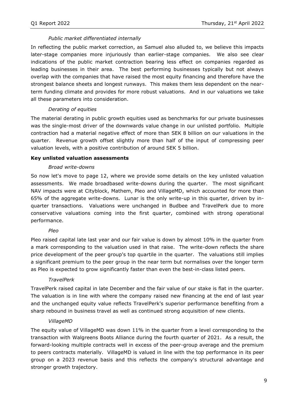# *Public market differentiated internally*

In reflecting the public market correction, as Samuel also alluded to, we believe this impacts later-stage companies more injuriously than earlier-stage companies. We also see clear indications of the public market contraction bearing less effect on companies regarded as leading businesses in their area. The best performing businesses typically but not always overlap with the companies that have raised the most equity financing and therefore have the strongest balance sheets and longest runways. This makes them less dependent on the nearterm funding climate and provides for more robust valuations. And in our valuations we take all these parameters into consideration.

## *Derating of equities*

The material derating in public growth equities used as benchmarks for our private businesses was the single-most driver of the downwards value change in our unlisted portfolio. Multiple contraction had a material negative effect of more than SEK 8 billion on our valuations in the quarter. Revenue growth offset slightly more than half of the input of compressing peer valuation levels, with a positive contribution of around SEK 5 billion.

## **Key unlisted valuation assessments**

## *Broad write-downs*

So now let's move to page 12, where we provide some details on the key unlisted valuation assessments. We made broadbased write-downs during the quarter. The most significant NAV impacts were at Cityblock, Mathem, Pleo and VillageMD, which accounted for more than 65% of the aggregate write-downs. Lunar is the only write-up in this quarter, driven by inquarter transactions. Valuations were unchanged in Budbee and TravelPerk due to more conservative valuations coming into the first quarter, combined with strong operational performance.

## *Pleo*

Pleo raised capital late last year and our fair value is down by almost 10% in the quarter from a mark corresponding to the valuation used in that raise. The write-down reflects the share price development of the peer group's top quartile in the quarter. The valuations still implies a significant premium to the peer group in the near term but normalises over the longer term as Pleo is expected to grow significantly faster than even the best-in-class listed peers.

## *TravelPerk*

TravelPerk raised capital in late December and the fair value of our stake is flat in the quarter. The valuation is in line with where the company raised new financing at the end of last year and the unchanged equity value reflects TravelPerk's superior performance benefiting from a sharp rebound in business travel as well as continued strong acquisition of new clients.

## *VillageMD*

The equity value of VillageMD was down 11% in the quarter from a level corresponding to the transaction with Walgreens Boots Alliance during the fourth quarter of 2021. As a result, the forward-looking multiple contracts well in excess of the peer-group average and the premium to peers contracts materially. VillageMD is valued in line with the top performance in its peer group on a 2023 revenue basis and this reflects the company's structural advantage and stronger growth trajectory.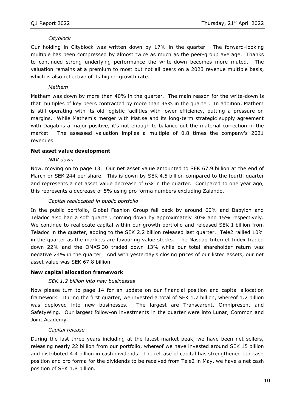#### *Cityblock*

Our holding in Cityblock was written down by 17% in the quarter. The forward-looking multiple has been compressed by almost twice as much as the peer-group average. Thanks to continued strong underlying performance the write-down becomes more muted. The valuation remains at a premium to most but not all peers on a 2023 revenue multiple basis, which is also reflective of its higher growth rate.

#### *Mathem*

Mathem was down by more than 40% in the quarter. The main reason for the write-down is that multiples of key peers contracted by more than 35% in the quarter. In addition, Mathem is still operating with its old logistic facilities with lower efficiency, putting a pressure on margins. While Mathem's merger with Mat.se and its long-term strategic supply agreement with Dagab is a major positive, it's not enough to balance out the material correction in the market. The assessed valuation implies a multiple of 0.8 times the company's 2021 revenues.

#### **Net asset value development**

#### *NAV down*

Now, moving on to page 13. Our net asset value amounted to SEK 67.9 billion at the end of March or SEK 244 per share. This is down by SEK 4.5 billion compared to the fourth quarter and represents a net asset value decrease of 6% in the quarter. Compared to one year ago, this represents a decrease of 5% using pro forma numbers excluding Zalando.

#### *Capital reallocated in public portfolio*

In the public portfolio, Global Fashion Group fell back by around 60% and Babylon and Teladoc also had a soft quarter, coming down by approximately 30% and 15% respectively. We continue to reallocate capital within our growth portfolio and released SEK 1 billion from Teladoc in the quarter, adding to the SEK 2.2 billion released last quarter. Tele2 rallied 10% in the quarter as the markets are favouring value stocks. The Nasdaq Internet Index traded down 22% and the OMXS 30 traded down 13% while our total shareholder return was negative 24% in the quarter. And with yesterday's closing prices of our listed assets, our net asset value was SEK 67.8 billion.

#### **New capital allocation framework**

#### *SEK 1.2 billion into new businesses*

Now please turn to page 14 for an update on our financial position and capital allocation framework. During the first quarter, we invested a total of SEK 1.7 billion, whereof 1.2 billion was deployed into new businesses. The largest are Transcarent, Omnipresent and SafetyWing. Our largest follow-on investments in the quarter were into Lunar, Common and Joint Academy.

#### *Capital release*

During the last three years including at the latest market peak, we have been net sellers, releasing nearly 22 billion from our portfolio, whereof we have invested around SEK 15 billion and distributed 4.4 billion in cash dividends. The release of capital has strengthened our cash position and pro forma for the dividends to be received from Tele2 in May, we have a net cash position of SEK 1.8 billion.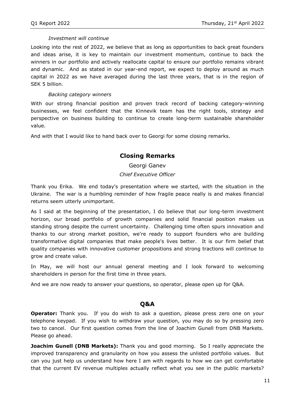## *Investment will continue*

Looking into the rest of 2022, we believe that as long as opportunities to back great founders and ideas arise, it is key to maintain our investment momentum, continue to back the winners in our portfolio and actively reallocate capital to ensure our portfolio remains vibrant and dynamic. And as stated in our year-end report, we expect to deploy around as much capital in 2022 as we have averaged during the last three years, that is in the region of SEK 5 billion.

## *Backing category winners*

With our strong financial position and proven track record of backing category-winning businesses, we feel confident that the Kinnevik team has the right tools, strategy and perspective on business building to continue to create long-term sustainable shareholder value.

And with that I would like to hand back over to Georgi for some closing remarks.

# **Closing Remarks**

Georgi Ganev *Chief Executive Officer*

Thank you Erika. We end today's presentation where we started, with the situation in the Ukraine. The war is a humbling reminder of how fragile peace really is and makes financial returns seem utterly unimportant.

As I said at the beginning of the presentation, I do believe that our long-term investment horizon, our broad portfolio of growth companies and solid financial position makes us standing strong despite the current uncertainty. Challenging time often spurs innovation and thanks to our strong market position, we're ready to support founders who are building transformative digital companies that make people's lives better. It is our firm belief that quality companies with innovative customer propositions and strong tractions will continue to grow and create value.

In May, we will host our annual general meeting and I look forward to welcoming shareholders in person for the first time in three years.

And we are now ready to answer your questions, so operator, please open up for Q&A.

# **Q&A**

**Operator:** Thank you. If you do wish to ask a question, please press zero one on your telephone keypad. If you wish to withdraw your question, you may do so by pressing zero two to cancel. Our first question comes from the line of Joachim Gunell from DNB Markets. Please go ahead.

**Joachim Gunell (DNB Markets):** Thank you and good morning. So I really appreciate the improved transparency and granularity on how you assess the unlisted portfolio values. But can you just help us understand how here I am with regards to how we can get comfortable that the current EV revenue multiples actually reflect what you see in the public markets?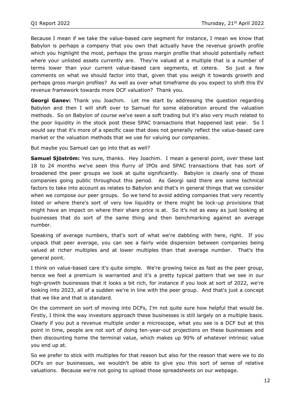Because I mean if we take the value-based care segment for instance, I mean we know that Babylon is perhaps a company that you own that actually have the revenue growth profile which you highlight the most, perhaps the gross margin profile that should potentially reflect where your unlisted assets currently are. They're valued at a multiple that is a number of terms lower than your current value-based care segments, et cetera. So just a few comments on what we should factor into that, given that you weigh it towards growth and perhaps gross margin profiles? As well as over what timeframe do you expect to shift this EV revenue framework towards more DCF valuation? Thank you.

**Georgi Ganev:** Thank you Joachim. Let me start by addressing the question regarding Babylon and then I will shift over to Samuel for some elaboration around the valuation methods. So on Babylon of course we've seen a soft trading but it's also very much related to the poor liquidity in the stock post these SPAC transactions that happened last year. So I would say that it's more of a specific case that does not generally reflect the value-based care market or the valuation methods that we use for valuing our companies.

But maybe you Samuel can go into that as well?

**Samuel Sjöström:** Yes sure, thanks. Hey Joachim. I mean a general point, over these last 18 to 24 months we've seen this flurry of IPOs and SPAC transactions that has sort of broadened the peer groups we look at quite significantly. Babylon is clearly one of those companies going public throughout this period. As Georgi said there are some technical factors to take into account as relates to Babylon and that's in general things that we consider when we compose our peer groups. So we tend to avoid adding companies that very recently listed or where there's sort of very low liquidity or there might be lock-up provisions that might have an impact on where their share price is at. So it's not as easy as just looking at businesses that do sort of the same thing and then benchmarking against an average number.

Speaking of average numbers, that's sort of what we're dabbling with here, right. If you unpack that peer average, you can see a fairly wide dispersion between companies being valued at richer multiples and at lower multiples than that average number. That's the general point.

I think on value-based care it's quite simple. We're growing twice as fast as the peer group, hence we feel a premium is warranted and it's a pretty typical pattern that we see in our high-growth businesses that it looks a bit rich, for instance if you look at sort of 2022, we're looking into 2023, all of a sudden we're in line with the peer group. And that's just a concept that we like and that is standard.

On the comment on sort of moving into DCFs, I'm not quite sure how helpful that would be. Firstly, I think the way investors approach these businesses is still largely on a multiple basis. Clearly if you put a revenue multiple under a microscope, what you see is a DCF but at this point in time, people are not sort of doing ten-year-out projections on these businesses and then discounting home the terminal value, which makes up 90% of whatever intrinsic value you end up at.

So we prefer to stick with multiples for that reason but also for the reason that were we to do DCFs on our businesses, we wouldn't be able to give you this sort of sense of relative valuations. Because we're not going to upload those spreadsheets on our webpage.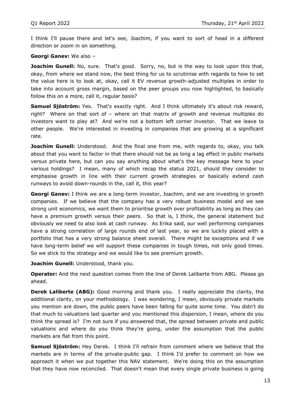I think I'll pause there and let's see, Joachim, if you want to sort of head in a different direction or zoom in on something.

#### **Georgi Ganev:** We also –

**Joachim Gunell:** No, sure. That's good. Sorry, no, but is the way to look upon this that, okay, from where we stand now, the best thing for us to scrutinise with regards to how to set the value here is to look at, okay, call it EV revenue growth-adjusted multiples in order to take into account gross margin, based on the peer groups you now highlighted, to basically follow this on a more, call it, regular basis?

**Samuel Sjöström:** Yes. That's exactly right. And I think ultimately it's about risk reward, right? Where on that sort of – where on that matrix of growth and revenue multiples do investors want to play at? And we're not a bottom left corner investor. That we leave to other people. We're interested in investing in companies that are growing at a significant rate.

**Joachim Gunell:** Understood. And the final one from me, with regards to, okay, you talk about that you want to factor in that there should not be as long a lag effect in public markets versus private here, but can you say anything about what's the key message here to your various holdings? I mean, many of which recap the status 2021, should they consider to emphasise growth in line with their current growth strategies or basically extend cash runways to avoid down-rounds in the, call it, this year?

**Georgi Ganev:** I think we are a long-term investor, Joachim, and we are investing in growth companies. If we believe that the company has a very robust business model and we see strong unit economics, we want them to prioritise growth over profitability as long as they can have a premium growth versus their peers. So that is, I think, the general statement but obviously we need to also look at cash runway. As Erika said, our well performing companies have a strong correlation of large rounds end of last year, so we are luckily placed with a portfolio that has a very strong balance sheet overall. There might be exceptions and if we have long-term belief we will support these companies in tough times, not only good times. So we stick to the strategy and we would like to see premium growth.

**Joachim Gunell:** Understood, thank you.

**Operator:** And the next question comes from the line of Derek Laliberte from ABG. Please go ahead.

**Derek Laliberte (ABG):** Good morning and thank you. I really appreciate the clarity, the additional clarity, on your methodology. I was wondering, I mean, obviously private markets you mention are down, the public peers have been falling for quite some time. You didn't do that much to valuations last quarter and you mentioned this dispersion, I mean, where do you think the spread is? I'm not sure if you answered that, the spread between private and public valuations and where do you think they're going, under the assumption that the public markets are flat from this point.

**Samuel Sjöström:** Hey Derek. I think I'll refrain from comment where we believe that the markets are in terms of the private-public gap. I think I'd prefer to comment on how we approach it when we put together this NAV statement. We're doing this on the assumption that they have now reconciled. That doesn't mean that every single private business is going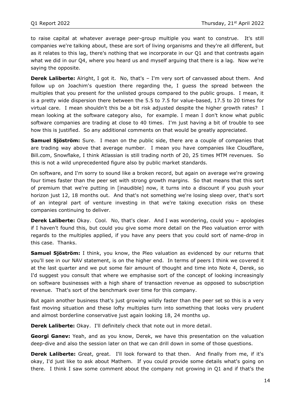to raise capital at whatever average peer-group multiple you want to construe. It's still companies we're talking about, these are sort of living organisms and they're all different, but as it relates to this lag, there's nothing that we incorporate in our Q1 and that contrasts again what we did in our Q4, where you heard us and myself arguing that there is a lag. Now we're saying the opposite.

**Derek Laliberte:** Alright, I got it. No, that's - I'm very sort of canvassed about them. And follow up on Joachim's question there regarding the, I guess the spread between the multiples that you present for the unlisted groups compared to the public groups. I mean, it is a pretty wide dispersion there between the 5.5 to 7.5 for value-based, 17.5 to 20 times for virtual care. I mean shouldn't this be a bit risk adjusted despite the higher growth rates? I mean looking at the software category also, for example. I mean I don't know what public software companies are trading at close to 40 times. I'm just having a bit of trouble to see how this is justified. So any additional comments on that would be greatly appreciated.

**Samuel Sjöström:** Sure. I mean on the public side, there are a couple of companies that are trading way above that average number. I mean you have companies like Cloudflare, Bill.com, Snowflake, I think Atlassian is still trading north of 20, 25 times MTM revenues. So this is not a wild unprecedented figure also by public market standards.

On software, and I'm sorry to sound like a broken record, but again on average we're growing four times faster than the peer set with strong growth margins. So that means that this sort of premium that we're putting in [inaudible] now, it turns into a discount if you push your horizon just 12, 18 months out. And that's not something we're losing sleep over, that's sort of an integral part of venture investing in that we're taking execution risks on these companies continuing to deliver.

**Derek Laliberte:** Okay. Cool. No, that's clear. And I was wondering, could you – apologies if I haven't found this, but could you give some more detail on the Pleo valuation error with regards to the multiples applied, if you have any peers that you could sort of name-drop in this case. Thanks.

**Samuel Sjöström:** I think, you know, the Pleo valuation as evidenced by our returns that you'll see in our NAV statement, is on the higher end. In terms of peers I think we covered it at the last quarter and we put some fair amount of thought and time into Note 4, Derek, so I'd suggest you consult that where we emphasise sort of the concept of looking increasingly on software businesses with a high share of transaction revenue as opposed to subscription revenue. That's sort of the benchmark over time for this company.

But again another business that's just growing wildly faster than the peer set so this is a very fast moving situation and these lofty multiples turn into something that looks very prudent and almost borderline conservative just again looking 18, 24 months up.

**Derek Laliberte:** Okay. I'll definitely check that note out in more detail.

**Georgi Ganev:** Yeah, and as you know, Derek, we have this presentation on the valuation deep-dive and also the session later on that we can drill down in some of those questions.

**Derek Laliberte:** Great, great. I'll look forward to that then. And finally from me, if it's okay, I'd just like to ask about Mathem. If you could provide some details what's going on there. I think I saw some comment about the company not growing in Q1 and if that's the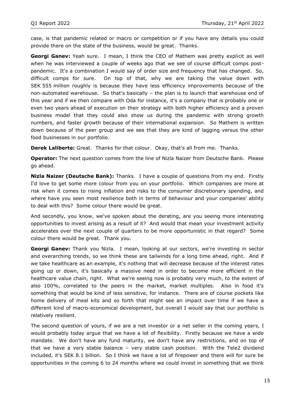case, is that pandemic related or macro or competition or if you have any details you could provide there on the state of the business, would be great. Thanks.

**Georgi Ganev:** Yeah sure. I mean, I think the CEO of Mathem was pretty explicit as well when he was interviewed a couple of weeks ago that we see of course difficult comps postpandemic. It's a combination I would say of order size and frequency that has changed. So, difficult comps for sure. On top of that, why we are taking the value down with SEK 555 million roughly is because they have less efficiency improvements because of the non-automated warehouse. So that's basically – the plan is to launch that warehouse end of this year and if we then compare with Oda for instance, it's a company that is probably one or even two years ahead of execution on their strategy with both higher efficiency and a proven business model that they could also show us during the pandemic with strong growth numbers, and faster growth because of their international expansion. So Mathem is written down because of the peer group and we see that they are kind of lagging versus the other food businesses in our portfolio.

**Derek Laliberte:** Great. Thanks for that colour. Okay, that's all from me. Thanks.

**Operator:** The next question comes from the line of Nizla Naizer from Deutsche Bank. Please go ahead.

**Nizla Naizer (Deutsche Bank):** Thanks. I have a couple of questions from my end. Firstly I'd love to get some more colour from you on your portfolio. Which companies are more at risk when it comes to rising inflation and risks to the consumer discretionary spending, and where have you seen most resilience both in terms of behaviour and your companies' ability to deal with this? Some colour there would be great.

And secondly, you know, we've spoken about the derating, are you seeing more interesting opportunities to invest arising as a result of it? And would that mean your investment activity accelerates over the next couple of quarters to be more opportunistic in that regard? Some colour there would be great. Thank you.

**Georgi Ganev:** Thank you Nizla. I mean, looking at our sectors, we're investing in sector and overarching trends, so we think these are tailwinds for a long time ahead, right. And if we take healthcare as an example, it's nothing that will decrease because of the interest rates going up or down, it's basically a massive need in order to become more efficient in the healthcare value chain, right. What we're seeing now is probably very much, to the extent of also 100%, correlated to the peers in the market, market multiples. Also in food it's something that would be kind of less sensitive, for instance. There are of course pockets like home delivery of meal kits and so forth that might see an impact over time if we have a different kind of macro-economical development, but overall I would say that our portfolio is relatively resilient.

The second question of yours, if we are a net investor or a net seller in the coming years, I would probably today argue that we have a lot of flexibility. Firstly because we have a wide mandate. We don't have any fund maturity, we don't have any restrictions, and on top of that we have a very stable balance – very stable cash position. With the Tele2 dividend included, it's SEK 8.1 billion. So I think we have a lot of firepower and there will for sure be opportunities in the coming 6 to 24 months where we could invest in something that we think